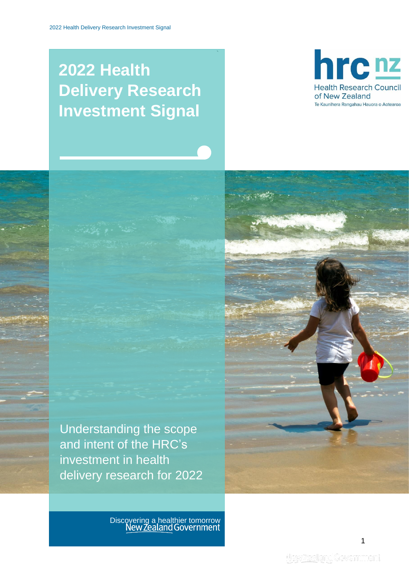# **2022 Health Delivery Research Investment Signal**

`





Discovering a healthier tomorrow<br>New Zealand Government

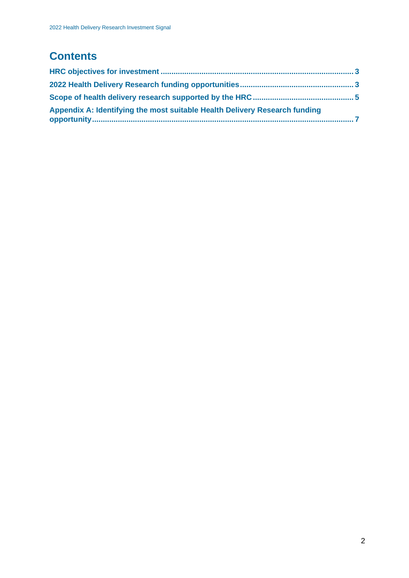## **Contents**

| Appendix A: Identifying the most suitable Health Delivery Research funding |  |
|----------------------------------------------------------------------------|--|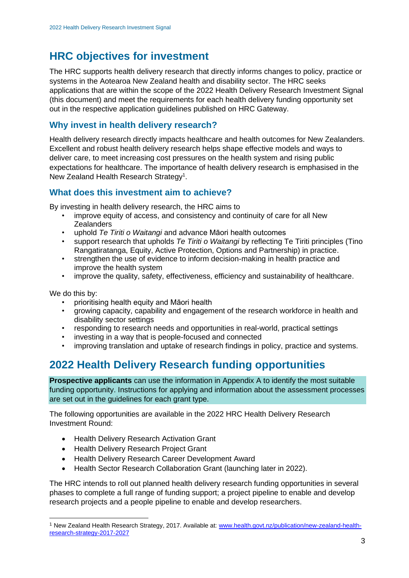## <span id="page-2-0"></span>**HRC objectives for investment**

The HRC supports health delivery research that directly informs changes to policy, practice or systems in the Aotearoa New Zealand health and disability sector. The HRC seeks applications that are within the scope of the 2022 Health Delivery Research Investment Signal (this document) and meet the requirements for each health delivery funding opportunity set out in the respective application guidelines published on HRC Gateway.

### **Why invest in health delivery research?**

Health delivery research directly impacts healthcare and health outcomes for New Zealanders. Excellent and robust health delivery research helps shape effective models and ways to deliver care, to meet increasing cost pressures on the health system and rising public expectations for healthcare. The importance of health delivery research is emphasised in the New Zealand Health Research Strategy<sup>1</sup>.

### **What does this investment aim to achieve?**

By investing in health delivery research, the HRC aims to

- improve equity of access, and consistency and continuity of care for all New **Zealanders**
- uphold *Te Tiriti o Waitangi* and advance Māori health outcomes
- support research that upholds *Te Tiriti o Waitangi* by reflecting Te Tiriti principles (Tino Rangatiratanga, Equity, Active Protection, Options and Partnership) in practice.
- strengthen the use of evidence to inform decision-making in health practice and improve the health system
- improve the quality, safety, effectiveness, efficiency and sustainability of healthcare.

We do this by:

- prioritising health equity and Māori health
- growing capacity, capability and engagement of the research workforce in health and disability sector settings
- responding to research needs and opportunities in real-world, practical settings
- investing in a way that is people-focused and connected
- improving translation and uptake of research findings in policy, practice and systems.

## <span id="page-2-1"></span>**2022 Health Delivery Research funding opportunities**

**Prospective applicants** can use the information in Appendix A to identify the most suitable funding opportunity. Instructions for applying and information about the assessment processes are set out in the guidelines for each grant type.

The following opportunities are available in the 2022 HRC Health Delivery Research Investment Round:

- Health Delivery Research Activation Grant
- Health Delivery Research Project Grant
- Health Delivery Research Career Development Award
- Health Sector Research Collaboration Grant (launching later in 2022).

The HRC intends to roll out planned health delivery research funding opportunities in several phases to complete a full range of funding support; a project pipeline to enable and develop research projects and a people pipeline to enable and develop researchers.

<sup>&</sup>lt;sup>1</sup> New Zealand Health Research Strategy, 2017. Available at: [www.health.govt.nz/publication/new-zealand-health](http://www.health.govt.nz/publication/new-zealand-health-research-strategy-2017-2027)[research-strategy-2017-2027](http://www.health.govt.nz/publication/new-zealand-health-research-strategy-2017-2027)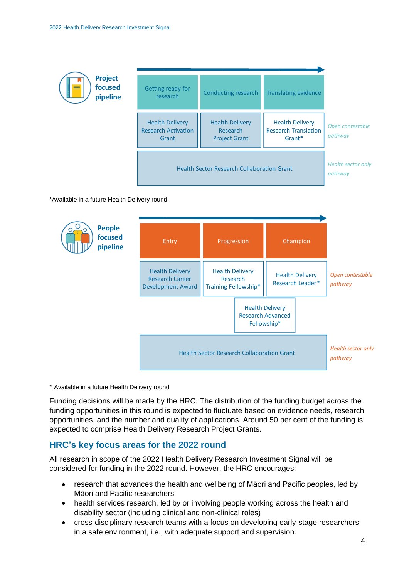

#### \*Available in a future Health Delivery round



\* Available in a future Health Delivery round

Funding decisions will be made by the HRC. The distribution of the funding budget across the funding opportunities in this round is expected to fluctuate based on evidence needs, research opportunities, and the number and quality of applications. Around 50 per cent of the funding is expected to comprise Health Delivery Research Project Grants.

#### **HRC's key focus areas for the 2022 round**

All research in scope of the 2022 Health Delivery Research Investment Signal will be considered for funding in the 2022 round. However, the HRC encourages:

- research that advances the health and wellbeing of Māori and Pacific peoples, led by Māori and Pacific researchers
- health services research, led by or involving people working across the health and disability sector (including clinical and non-clinical roles)
- cross-disciplinary research teams with a focus on developing early-stage researchers in a safe environment, i.e., with adequate support and supervision.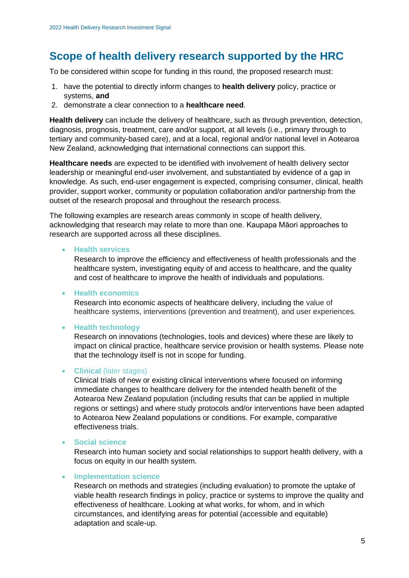## <span id="page-4-0"></span>**Scope of health delivery research supported by the HRC**

To be considered within scope for funding in this round, the proposed research must:

- 1. have the potential to directly inform changes to **health delivery** policy, practice or systems, **and**
- 2. demonstrate a clear connection to a **healthcare need**.

**Health delivery** can include the delivery of healthcare, such as through prevention, detection, diagnosis, prognosis, treatment, care and/or support, at all levels (i.e., primary through to tertiary and community-based care), and at a local, regional and/or national level in Aotearoa New Zealand, acknowledging that international connections can support this.

**Healthcare needs** are expected to be identified with involvement of health delivery sector leadership or meaningful end-user involvement, and substantiated by evidence of a gap in knowledge. As such, end-user engagement is expected, comprising consumer, clinical, health provider, support worker, community or population collaboration and/or partnership from the outset of the research proposal and throughout the research process.

The following examples are research areas commonly in scope of health delivery, acknowledging that research may relate to more than one. Kaupapa Māori approaches to research are supported across all these disciplines.

#### • **Health services**

Research to improve the efficiency and effectiveness of health professionals and the healthcare system, investigating equity of and access to healthcare, and the quality and cost of healthcare to improve the health of individuals and populations.

#### • **Health economics**

Research into economic aspects of healthcare delivery, including the value of healthcare systems, interventions (prevention and treatment), and user experiences.

#### • **Health technology**

Research on innovations (technologies, tools and devices) where these are likely to impact on clinical practice, healthcare service provision or health systems. Please note that the technology itself is not in scope for funding.

#### • **Clinical** (later stages)

Clinical trials of new or existing clinical interventions where focused on informing immediate changes to healthcare delivery for the intended health benefit of the Aotearoa New Zealand population (including results that can be applied in multiple regions or settings) and where study protocols and/or interventions have been adapted to Aotearoa New Zealand populations or conditions. For example, comparative effectiveness trials.

#### • **Social science**

Research into human society and social relationships to support health delivery, with a focus on equity in our health system.

#### • **Implementation science**

Research on methods and strategies (including evaluation) to promote the uptake of viable health research findings in policy, practice or systems to improve the quality and effectiveness of healthcare. Looking at what works, for whom, and in which circumstances, and identifying areas for potential (accessible and equitable) adaptation and scale-up.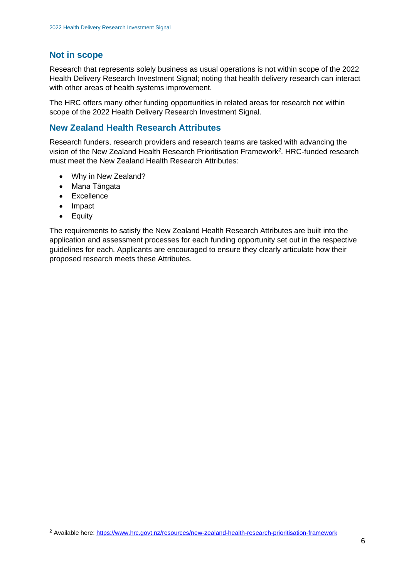#### **Not in scope**

Research that represents solely business as usual operations is not within scope of the 2022 Health Delivery Research Investment Signal; noting that health delivery research can interact with other areas of health systems improvement.

The HRC offers many other funding opportunities in related areas for research not within scope of the 2022 Health Delivery Research Investment Signal.

### **New Zealand Health Research Attributes**

Research funders, research providers and research teams are tasked with advancing the vision of the New Zealand Health Research Prioritisation Framework<sup>2</sup>. HRC-funded research must meet the New Zealand Health Research Attributes:

- Why in New Zealand?
- Mana Tāngata
- Excellence
- Impact
- Equity

The requirements to satisfy the New Zealand Health Research Attributes are built into the application and assessment processes for each funding opportunity set out in the respective guidelines for each. Applicants are encouraged to ensure they clearly articulate how their proposed research meets these Attributes.

<sup>2</sup> Available here:<https://www.hrc.govt.nz/resources/new-zealand-health-research-prioritisation-framework>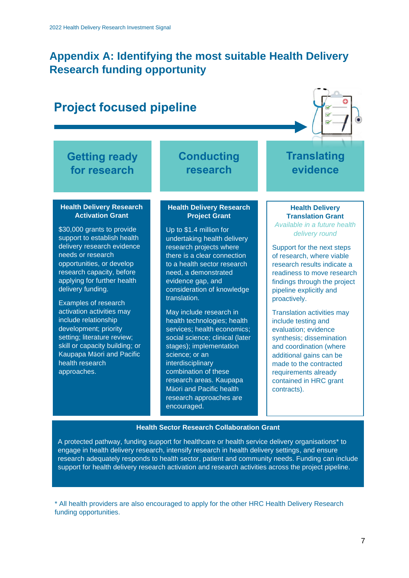## <span id="page-6-0"></span>**Appendix A: Identifying the most suitable Health Delivery Research funding opportunity**

#### **Getting ready for research Conducting research Translating evidence Project focused pipeline Health Delivery Research Activation Grant** \$30,000 grants to provide support to establish health delivery research evidence needs or research opportunities, or develop research capacity, before applying for further health delivery funding. Examples of research activation activities may include relationship development; priority setting; literature review; skill or capacity building; or Kaupapa Māori and Pacific health research approaches. **Health Delivery Research Project Grant** Up to \$1.4 million for undertaking health delivery research projects where there is a clear connection to a health sector research need, a demonstrated evidence gap, and consideration of knowledge translation. May include research in health technologies; health services; health economics; social science; clinical (later stages); implementation science; or an interdisciplinary combination of these research areas. Kaupapa Māori and Pacific health research approaches are **Health Delivery Translation Grant** *Available in a future health delivery round* Support for the next steps of research, where viable research results indicate a readiness to move research findings through the project pipeline explicitly and proactively. Translation activities may include testing and evaluation; evidence synthesis; dissemination and coordination (where additional gains can be made to the contracted requirements already contained in HRC grant contracts).

#### **Health Sector Research Collaboration Grant**

encouraged.

A protected pathway, funding support for healthcare or health service delivery organisations\* to engage in health delivery research, intensify research in health delivery settings, and ensure research adequately responds to health sector, patient and community needs. Funding can include support for health delivery research activation and research activities across the project pipeline.

\* All health providers are also encouraged to apply for the other HRC Health Delivery Research funding opportunities.